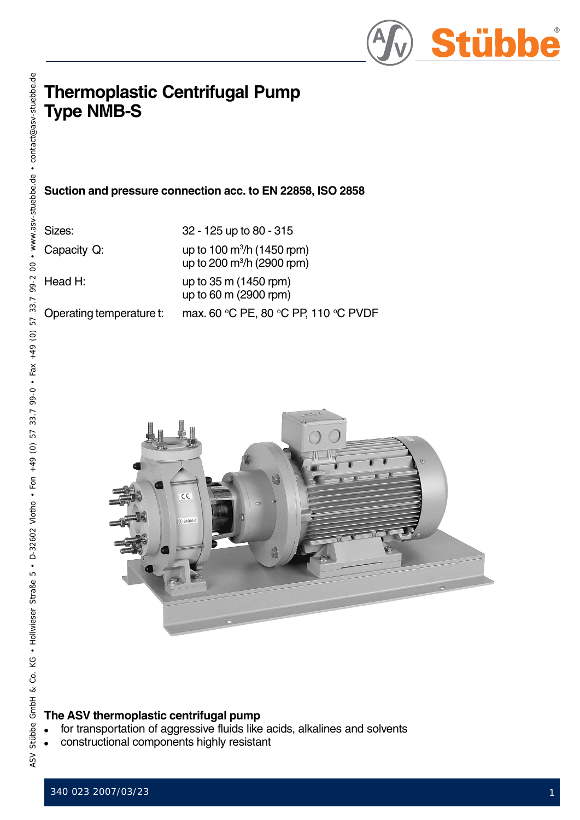

# **Thermoplastic Centrifugal Pump Type NMB-S**

**Suction and pressure connection acc. to EN 22858, ISO 2858**

| Sizes:      | 32 - 125 up to 80 - 315                                          |
|-------------|------------------------------------------------------------------|
| Capacity Q: | up to 100 $\rm m^3/h$ (1450 rpm)<br>up to 200 $m^3/h$ (2900 rpm) |

Head H: up to 35 m (1450 rpm) up to 60 m (2900 rpm) Operating temperature t: max. 60 °C PE, 80 °C PP, 110 °C PVDF

> $\epsilon$  $c$ 4<sup>1</sup>

## **The ASV thermoplastic centrifugal pump**

- for transportation of aggressive fluids like acids, alkalines and solvents
- constructional components highly resistant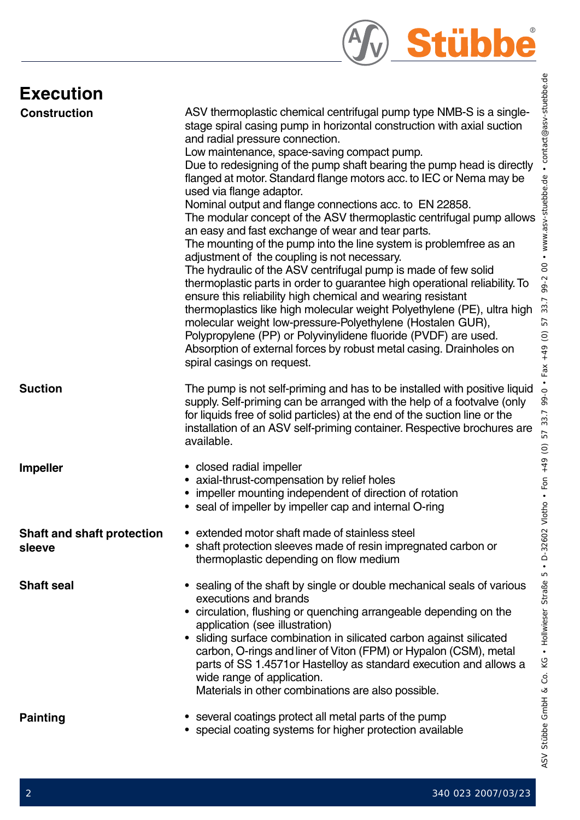

# **Execution**

| EXCCULIOII                                  |                                                                                                                                                                                                                                                                                                                                                                                                                                                                                                                                                                                                                                                                                                                                                                                                                                                                                                                                                                                                                                                                                                                                                                                                                                                           |
|---------------------------------------------|-----------------------------------------------------------------------------------------------------------------------------------------------------------------------------------------------------------------------------------------------------------------------------------------------------------------------------------------------------------------------------------------------------------------------------------------------------------------------------------------------------------------------------------------------------------------------------------------------------------------------------------------------------------------------------------------------------------------------------------------------------------------------------------------------------------------------------------------------------------------------------------------------------------------------------------------------------------------------------------------------------------------------------------------------------------------------------------------------------------------------------------------------------------------------------------------------------------------------------------------------------------|
| <b>Construction</b>                         | ASV thermoplastic chemical centrifugal pump type NMB-S is a single-<br>stage spiral casing pump in horizontal construction with axial suction<br>and radial pressure connection.<br>Low maintenance, space-saving compact pump.<br>Due to redesigning of the pump shaft bearing the pump head is directly<br>flanged at motor. Standard flange motors acc. to IEC or Nema may be<br>used via flange adaptor.<br>Nominal output and flange connections acc. to EN 22858.<br>The modular concept of the ASV thermoplastic centrifugal pump allows<br>an easy and fast exchange of wear and tear parts.<br>The mounting of the pump into the line system is problemfree as an<br>adjustment of the coupling is not necessary.<br>The hydraulic of the ASV centrifugal pump is made of few solid<br>thermoplastic parts in order to guarantee high operational reliability. To<br>ensure this reliability high chemical and wearing resistant<br>thermoplastics like high molecular weight Polyethylene (PE), ultra high<br>molecular weight low-pressure-Polyethylene (Hostalen GUR),<br>Polypropylene (PP) or Polyvinylidene fluoride (PVDF) are used.<br>Absorption of external forces by robust metal casing. Drainholes on<br>spiral casings on request. |
| <b>Suction</b>                              | The pump is not self-priming and has to be installed with positive liquid<br>supply. Self-priming can be arranged with the help of a footvalve (only<br>for liquids free of solid particles) at the end of the suction line or the<br>installation of an ASV self-priming container. Respective brochures are<br>available.                                                                                                                                                                                                                                                                                                                                                                                                                                                                                                                                                                                                                                                                                                                                                                                                                                                                                                                               |
| <b>Impeller</b>                             | • closed radial impeller<br>• axial-thrust-compensation by relief holes<br>• impeller mounting independent of direction of rotation<br>• seal of impeller by impeller cap and internal O-ring                                                                                                                                                                                                                                                                                                                                                                                                                                                                                                                                                                                                                                                                                                                                                                                                                                                                                                                                                                                                                                                             |
| <b>Shaft and shaft protection</b><br>sleeve | • extended motor shaft made of stainless steel<br>shaft protection sleeves made of resin impregnated carbon or<br>thermoplastic depending on flow medium                                                                                                                                                                                                                                                                                                                                                                                                                                                                                                                                                                                                                                                                                                                                                                                                                                                                                                                                                                                                                                                                                                  |
| <b>Shaft seal</b>                           | sealing of the shaft by single or double mechanical seals of various<br>executions and brands<br>• circulation, flushing or quenching arrangeable depending on the<br>application (see illustration)<br>• sliding surface combination in silicated carbon against silicated<br>carbon, O-rings and liner of Viton (FPM) or Hypalon (CSM), metal<br>parts of SS 1.4571 or Hastelloy as standard execution and allows a<br>wide range of application.<br>Materials in other combinations are also possible.                                                                                                                                                                                                                                                                                                                                                                                                                                                                                                                                                                                                                                                                                                                                                 |
| <b>Painting</b>                             | several coatings protect all metal parts of the pump<br>• special coating systems for higher protection available                                                                                                                                                                                                                                                                                                                                                                                                                                                                                                                                                                                                                                                                                                                                                                                                                                                                                                                                                                                                                                                                                                                                         |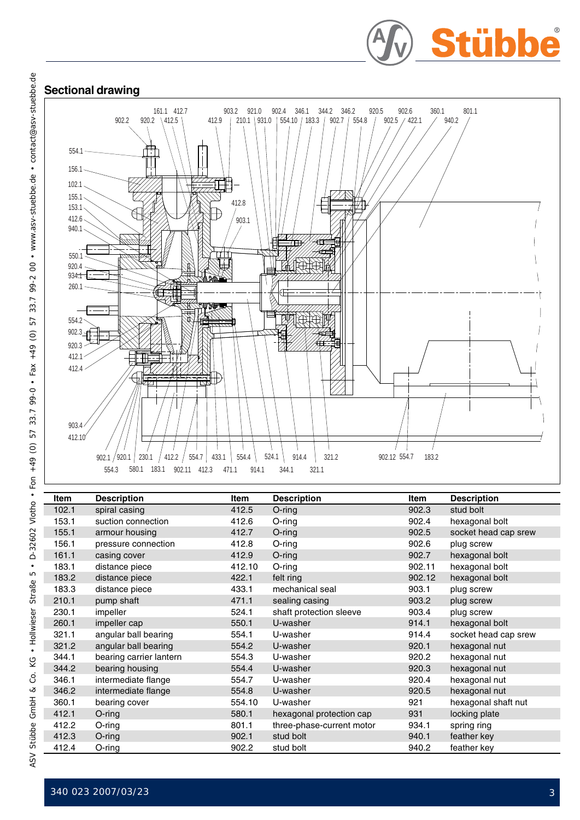





| Item  | <b>Description</b>      | Item               | <b>Description</b>        | <b>Item</b> | <b>Description</b>   |
|-------|-------------------------|--------------------|---------------------------|-------------|----------------------|
| 102.1 | spiral casing           | 412.5              | $O$ -ring                 | 902.3       | stud bolt            |
| 153.1 | suction connection      | 412.6<br>$O$ -ring |                           | 902.4       | hexagonal bolt       |
| 155.1 | armour housing          | 412.7              | $O$ -ring                 | 902.5       | socket head cap srew |
| 156.1 | pressure connection     | 412.8              | $O$ -ring                 | 902.6       | plug screw           |
| 161.1 | casing cover            | 412.9              | $O$ -ring                 | 902.7       | hexagonal bolt       |
| 183.1 | distance piece          | 412.10             | O-ring                    | 902.11      | hexagonal bolt       |
| 183.2 | distance piece          | 422.1              | felt ring                 | 902.12      | hexagonal bolt       |
| 183.3 | distance piece          | 433.1              | mechanical seal           | 903.1       | plug screw           |
| 210.1 | pump shaft              | 471.1              | sealing casing            | 903.2       | plug screw           |
| 230.1 | impeller                | 524.1              | shaft protection sleeve   | 903.4       | plug screw           |
| 260.1 | impeller cap            | 550.1              | U-washer                  | 914.1       | hexagonal bolt       |
| 321.1 | angular ball bearing    | 554.1              | U-washer                  | 914.4       | socket head cap srew |
| 321.2 | angular ball bearing    | 554.2              | U-washer                  | 920.1       | hexagonal nut        |
| 344.1 | bearing carrier lantern | 554.3              | U-washer                  | 920.2       | hexagonal nut        |
| 344.2 | bearing housing         | 554.4              | U-washer                  | 920.3       | hexagonal nut        |
| 346.1 | intermediate flange     | 554.7              | U-washer                  | 920.4       | hexagonal nut        |
| 346.2 | intermediate flange     | 554.8              | U-washer                  | 920.5       | hexagonal nut        |
| 360.1 | bearing cover           | 554.10             | U-washer                  | 921         | hexagonal shaft nut  |
| 412.1 | $O$ -ring               | 580.1              | hexagonal protection cap  | 931         | locking plate        |
| 412.2 | $O$ -ring               | 801.1              | three-phase-current motor | 934.1       | spring ring          |
| 412.3 | O-ring                  | 902.1              | stud bolt                 | 940.1       | feather key          |
| 412.4 | O-ring                  | 902.2              | stud bolt                 | 940.2       | feather key          |

l,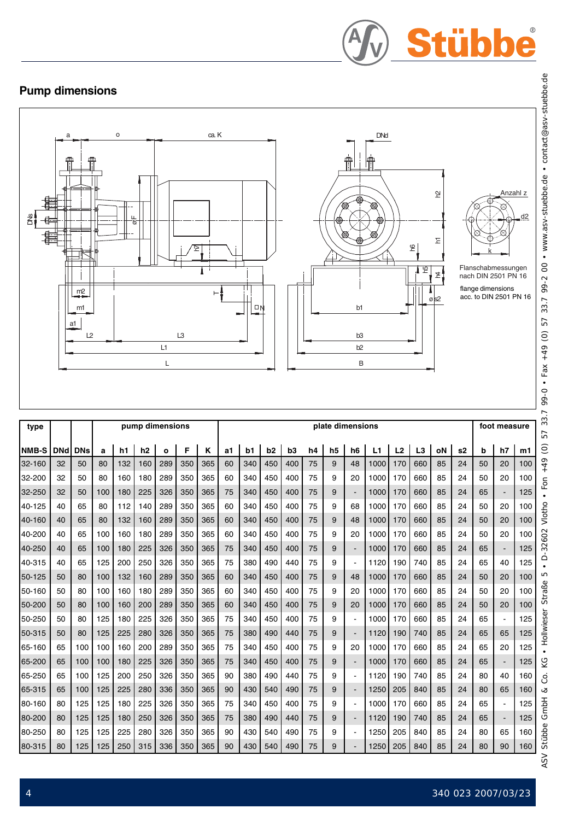# Stübbe

# **Pump dimensions**



| type         |            |            |     |     | pump dimensions |              |     |     | plate dimensions |     |     |                |    |                |                          | foot measure |                |                |    |                |    |                |     |
|--------------|------------|------------|-----|-----|-----------------|--------------|-----|-----|------------------|-----|-----|----------------|----|----------------|--------------------------|--------------|----------------|----------------|----|----------------|----|----------------|-----|
| <b>NMB-S</b> | <b>DNd</b> | <b>DNs</b> | a   | h1  | h2              | $\mathbf{o}$ | F   | ĸ   | a1               | b1  | b2  | b <sub>3</sub> | h4 | h <sub>5</sub> | h <sub>6</sub>           | L1           | L <sub>2</sub> | L <sub>3</sub> | οN | s <sub>2</sub> | b  | h7             | m1  |
| 32-160       | 32         | 50         | 80  | 132 | 160             | 289          | 350 | 365 | 60               | 340 | 450 | 400            | 75 | 9              | 48                       | 1000         | 170            | 660            | 85 | 24             | 50 | 20             | 100 |
| 32-200       | 32         | 50         | 80  | 160 | 180             | 289          | 350 | 365 | 60               | 340 | 450 | 400            | 75 | 9              | 20                       | 1000         | 170            | 660            | 85 | 24             | 50 | 20             | 100 |
| 32-250       | 32         | 50         | 100 | 180 | 225             | 326          | 350 | 365 | 75               | 340 | 450 | 400            | 75 | 9              | $\blacksquare$           | 1000         | 170            | 660            | 85 | 24             | 65 | $\sim$         | 125 |
| 40-125       | 40         | 65         | 80  | 112 | 140             | 289          | 350 | 365 | 60               | 340 | 450 | 400            | 75 | 9              | 68                       | 1000         | 170            | 660            | 85 | 24             | 50 | 20             | 100 |
| 40-160       | 40         | 65         | 80  | 132 | 160             | 289          | 350 | 365 | 60               | 340 | 450 | 400            | 75 | 9              | 48                       | 1000         | 170            | 660            | 85 | 24             | 50 | 20             | 100 |
| 40-200       | 40         | 65         | 100 | 160 | 180             | 289          | 350 | 365 | 60               | 340 | 450 | 400            | 75 | 9              | 20                       | 1000         | 170            | 660            | 85 | 24             | 50 | 20             | 100 |
| 40-250       | 40         | 65         | 100 | 180 | 225             | 326          | 350 | 365 | 75               | 340 | 450 | 400            | 75 | 9              | $\blacksquare$           | 1000         | 170            | 660            | 85 | 24             | 65 | $\blacksquare$ | 125 |
| 40-315       | 40         | 65         | 125 | 200 | 250             | 326          | 350 | 365 | 75               | 380 | 490 | 440            | 75 | 9              | $\blacksquare$           | 1120         | 190            | 740            | 85 | 24             | 65 | 40             | 125 |
| 50-125       | 50         | 80         | 100 | 132 | 160             | 289          | 350 | 365 | 60               | 340 | 450 | 400            | 75 | 9              | 48                       | 1000         | 170            | 660            | 85 | 24             | 50 | 20             | 100 |
| 50-160       | 50         | 80         | 100 | 160 | 180             | 289          | 350 | 365 | 60               | 340 | 450 | 400            | 75 | 9              | 20                       | 1000         | 170            | 660            | 85 | 24             | 50 | 20             | 100 |
| 50-200       | 50         | 80         | 100 | 160 | 200             | 289          | 350 | 365 | 60               | 340 | 450 | 400            | 75 | 9              | 20                       | 1000         | 170            | 660            | 85 | 24             | 50 | 20             | 100 |
| 50-250       | 50         | 80         | 125 | 180 | 225             | 326          | 350 | 365 | 75               | 340 | 450 | 400            | 75 | 9              | $\blacksquare$           | 1000         | 170            | 660            | 85 | 24             | 65 | $\blacksquare$ | 125 |
| 50-315       | 50         | 80         | 125 | 225 | 280             | 326          | 350 | 365 | 75               | 380 | 490 | 440            | 75 | 9              | $\blacksquare$           | 1120         | 190            | 740            | 85 | 24             | 65 | 65             | 125 |
| 65-160       | 65         | 100        | 100 | 160 | 200             | 289          | 350 | 365 | 75               | 340 | 450 | 400            | 75 | 9              | 20                       | 1000         | 170            | 660            | 85 | 24             | 65 | 20             | 125 |
| 65-200       | 65         | 100        | 100 | 180 | 225             | 326          | 350 | 365 | 75               | 340 | 450 | 400            | 75 | 9              | $\overline{a}$           | 1000         | 170            | 660            | 85 | 24             | 65 |                | 125 |
| 65-250       | 65         | 100        | 125 | 200 | 250             | 326          | 350 | 365 | 90               | 380 | 490 | 440            | 75 | 9              | $\blacksquare$           | 1120         | 190            | 740            | 85 | 24             | 80 | 40             | 160 |
| 65-315       | 65         | 100        | 125 | 225 | 280             | 336          | 350 | 365 | 90               | 430 | 540 | 490            | 75 | 9              |                          | 1250         | 205            | 840            | 85 | 24             | 80 | 65             | 160 |
| 80-160       | 80         | 125        | 125 | 180 | 225             | 326          | 350 | 365 | 75               | 340 | 450 | 400            | 75 | 9              | $\blacksquare$           | 1000         | 170            | 660            | 85 | 24             | 65 | $\blacksquare$ | 125 |
| 80-200       | 80         | 125        | 125 | 180 | 250             | 326          | 350 | 365 | 75               | 380 | 490 | 440            | 75 | 9              | $\overline{\phantom{a}}$ | 1120         | 190            | 740            | 85 | 24             | 65 | $\blacksquare$ | 125 |
| 80-250       | 80         | 125        | 125 | 225 | 280             | 326          | 350 | 365 | 90               | 430 | 540 | 490            | 75 | 9              | $\blacksquare$           | 1250         | 205            | 840            | 85 | 24             | 80 | 65             | 160 |
| 80-315       | 80         | 125        | 125 | 250 | 315             | 336          | 350 | 365 | 90               | 430 | 540 | 490            | 75 | 9              | $\blacksquare$           | 1250         | 205            | 840            | 85 | 24             | 80 | 90             | 160 |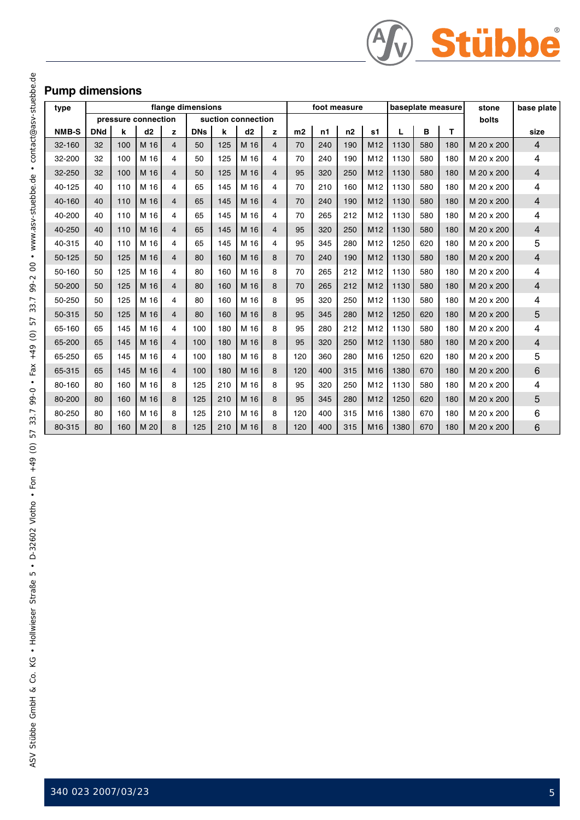

## **Pump dimensions**

| type       | flange dimensions |     |                     |                         | foot measure |     |                    | baseplate measure |                |     | stone | base plate      |             |     |       |            |                |
|------------|-------------------|-----|---------------------|-------------------------|--------------|-----|--------------------|-------------------|----------------|-----|-------|-----------------|-------------|-----|-------|------------|----------------|
|            |                   |     | pressure connection |                         |              |     | suction connection |                   |                |     |       |                 |             |     | bolts |            |                |
| NMB-S      | <b>DNd</b>        | k   | d2                  | z                       | <b>DNs</b>   | k   | d2                 | z                 | m <sub>2</sub> | n1  | n2    | s <sub>1</sub>  | B<br>т<br>L |     |       | size       |                |
| $32 - 160$ | 32                | 100 | M 16                | $\overline{\mathbf{4}}$ | 50           | 125 | M 16               | $\overline{4}$    | 70             | 240 | 190   | M <sub>12</sub> | 1130        | 580 | 180   | M 20 x 200 | $\overline{4}$ |
| 32-200     | 32                | 100 | M 16                | 4                       | 50           | 125 | M 16               | 4                 | 70             | 240 | 190   | M <sub>12</sub> | 1130        | 580 | 180   | M 20 x 200 | 4              |
| 32-250     | 32                | 100 | M 16                | $\overline{4}$          | 50           | 125 | M 16               | $\overline{4}$    | 95             | 320 | 250   | M <sub>12</sub> | 1130        | 580 | 180   | M 20 x 200 | $\overline{4}$ |
| 40-125     | 40                | 110 | M 16                | 4                       | 65           | 145 | M 16               | 4                 | 70             | 210 | 160   | M <sub>12</sub> | 1130        | 580 | 180   | M 20 x 200 | 4              |
| 40-160     | 40                | 110 | M 16                | 4                       | 65           | 145 | M 16               | 4                 | 70             | 240 | 190   | M <sub>12</sub> | 1130        | 580 | 180   | M 20 x 200 | 4              |
| 40-200     | 40                | 110 | M 16                | 4                       | 65           | 145 | M 16               | 4                 | 70             | 265 | 212   | M <sub>12</sub> | 1130        | 580 | 180   | M 20 x 200 | 4              |
| 40-250     | 40                | 110 | M 16                | $\overline{4}$          | 65           | 145 | M 16               | $\overline{4}$    | 95             | 320 | 250   | M12             | 1130        | 580 | 180   | M 20 x 200 | 4              |
| 40-315     | 40                | 110 | M 16                | 4                       | 65           | 145 | M 16               | 4                 | 95             | 345 | 280   | M <sub>12</sub> | 1250        | 620 | 180   | M 20 x 200 | 5              |
| 50-125     | 50                | 125 | M 16                | $\overline{4}$          | 80           | 160 | M 16               | 8                 | 70             | 240 | 190   | M12             | 1130        | 580 | 180   | M 20 x 200 | $\overline{4}$ |
| 50-160     | 50                | 125 | M 16                | 4                       | 80           | 160 | M 16               | 8                 | 70             | 265 | 212   | M12             | 1130        | 580 | 180   | M 20 x 200 | 4              |
| 50-200     | 50                | 125 | M 16                | $\overline{4}$          | 80           | 160 | M 16               | 8                 | 70             | 265 | 212   | M <sub>12</sub> | 1130        | 580 | 180   | M 20 x 200 | $\overline{4}$ |
| 50-250     | 50                | 125 | M 16                | 4                       | 80           | 160 | M 16               | 8                 | 95             | 320 | 250   | M <sub>12</sub> | 1130        | 580 | 180   | M 20 x 200 | 4              |
| 50-315     | 50                | 125 | M 16                | 4                       | 80           | 160 | M 16               | 8                 | 95             | 345 | 280   | M12             | 1250        | 620 | 180   | M 20 x 200 | 5              |
| 65-160     | 65                | 145 | M 16                | 4                       | 100          | 180 | M 16               | 8                 | 95             | 280 | 212   | M <sub>12</sub> | 1130        | 580 | 180   | M 20 x 200 | 4              |
| 65-200     | 65                | 145 | M 16                | $\overline{\mathbf{4}}$ | 100          | 180 | M 16               | 8                 | 95             | 320 | 250   | M <sub>12</sub> | 1130        | 580 | 180   | M 20 x 200 | $\overline{4}$ |
| 65-250     | 65                | 145 | M 16                | 4                       | 100          | 180 | M 16               | 8                 | 120            | 360 | 280   | M16             | 1250        | 620 | 180   | M 20 x 200 | 5              |
| 65-315     | 65                | 145 | M 16                | $\overline{4}$          | 100          | 180 | M 16               | 8                 | 120            | 400 | 315   | M <sub>16</sub> | 1380        | 670 | 180   | M 20 x 200 | $6\phantom{1}$ |
| 80-160     | 80                | 160 | M 16                | 8                       | 125          | 210 | M 16               | 8                 | 95             | 320 | 250   | M <sub>12</sub> | 1130        | 580 | 180   | M 20 x 200 | 4              |
| 80-200     | 80                | 160 | M 16                | 8                       | 125          | 210 | M 16               | 8                 | 95             | 345 | 280   | M <sub>12</sub> | 1250        | 620 | 180   | M 20 x 200 | 5              |
| 80-250     | 80                | 160 | M 16                | 8                       | 125          | 210 | M 16               | 8                 | 120            | 400 | 315   | M <sub>16</sub> | 1380        | 670 | 180   | M 20 x 200 | 6              |
| 80-315     | 80                | 160 | M 20                | 8                       | 125          | 210 | M 16               | 8                 | 120            | 400 | 315   | M16             | 1380        | 670 | 180   | M 20 x 200 | 6              |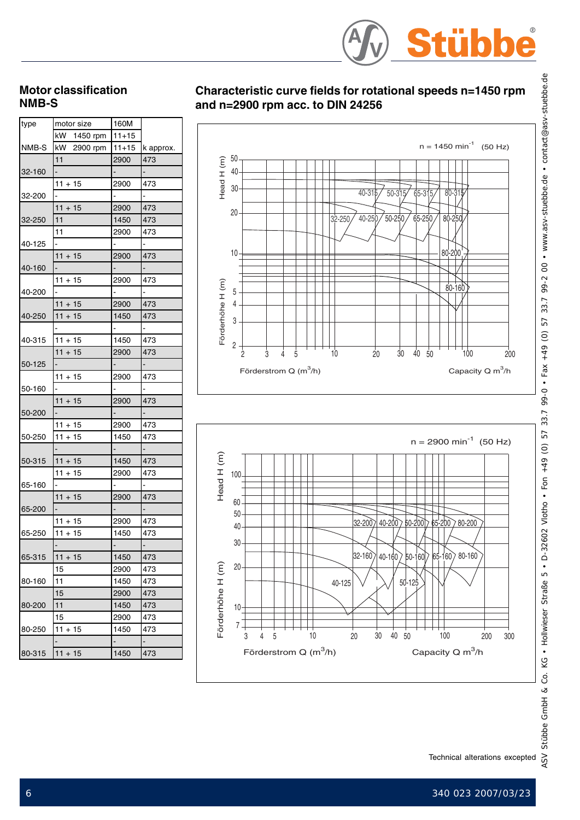

#### **Motor classification NMB-S**

| type   | motor size     | 160M      |           |
|--------|----------------|-----------|-----------|
|        | kW 1450 rpm    | $11+15$   |           |
| NMB-S  | kW 2900 rpm    | $11 + 15$ | k approx. |
|        | 11             | 2900      | 473       |
| 32-160 | $\overline{a}$ |           |           |
|        | $11 + 15$      | 2900      | 473       |
| 32-200 |                |           |           |
|        | $11 + 15$      | 2900      | 473       |
| 32-250 | 11             | 1450      | 473       |
|        | 11             | 2900      | 473       |
| 40-125 |                |           |           |
|        | $11 + 15$      | 2900      | 473       |
| 40-160 |                |           |           |
|        | $11 + 15$      | 2900      | 473       |
| 40-200 |                |           |           |
|        | $11 + 15$      | 2900      | 473       |
| 40-250 | $11 + 15$      | 1450      | 473       |
|        |                |           |           |
| 40-315 | $11 + 15$      | 1450      | 473       |
|        | $11 + 15$      | 2900      | 473       |
| 50-125 |                |           |           |
|        | $11 + 15$      | 2900      | 473       |
| 50-160 |                |           |           |
|        | $11 + 15$      | 2900      | 473       |
| 50-200 |                |           |           |
|        | $11 + 15$      | 2900      | 473       |
| 50-250 | $11 + 15$      | 1450      | 473       |
|        |                |           |           |
| 50-315 | $11 + 15$      | 1450      | 473       |
|        | $11 + 15$      | 2900      | 473       |
| 65-160 |                |           |           |
|        | $11 + 15$      | 2900      | 473       |
| 65-200 |                |           |           |
|        | $11 + 15$      | 2900      | 473       |
| 65-250 | $11 + 15$      | 1450      | 473       |
|        |                |           |           |
| 65-315 | $11 + 15$      | 1450      | 473       |
|        | 15             | 2900      | 473       |
| 80-160 | 11             | 1450      | 473       |
|        | 15             | 2900      | 473       |
| 80-200 | 11             | 1450      | 473       |
|        | 15             | 2900      | 473       |
|        | $11 + 15$      | 1450      | 473       |
| 80-250 |                |           |           |
|        | $11 + 15$      | 1450      | -<br>473  |
| 80-315 |                |           |           |

## **Characteristic curve fields for rotational speeds n=1450 rpm and n=2900 rpm acc. to DIN 24256**



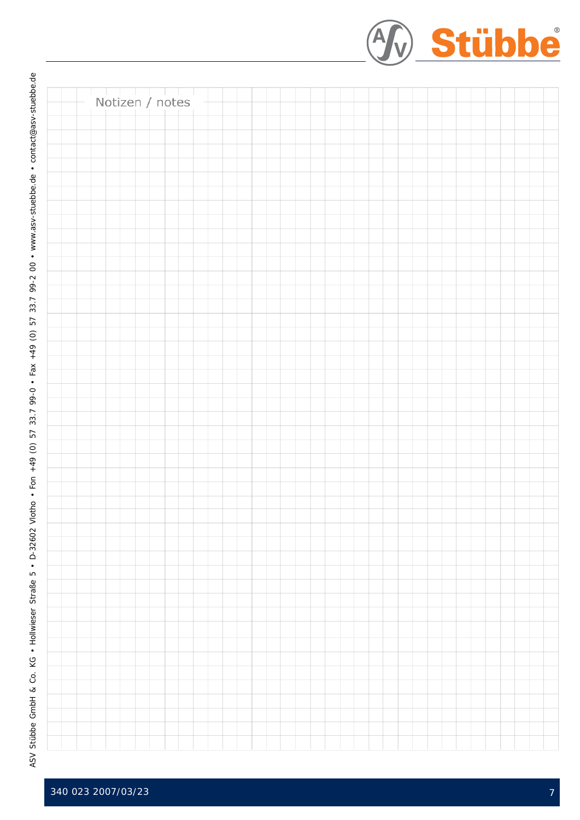|                 |  | 4 Stübbe |
|-----------------|--|----------|
| Notizen / notes |  |          |
|                 |  |          |
|                 |  |          |
|                 |  |          |
|                 |  |          |
|                 |  |          |
|                 |  |          |
|                 |  |          |
|                 |  |          |
|                 |  |          |
|                 |  |          |
|                 |  |          |
|                 |  |          |
|                 |  |          |
|                 |  |          |
|                 |  |          |
|                 |  |          |